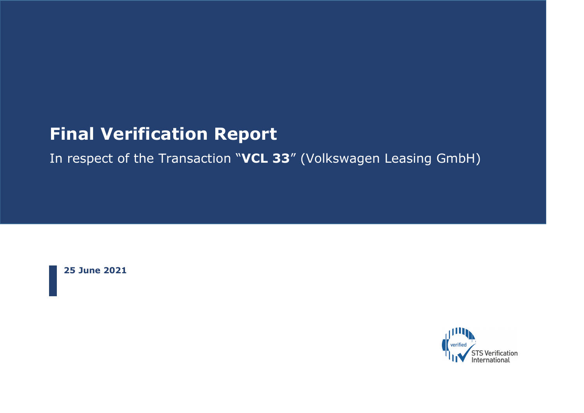# **Final Verification Report**

In respect of the Transaction "**VCL 33**" (Volkswagen Leasing GmbH)

**25 June 2021**

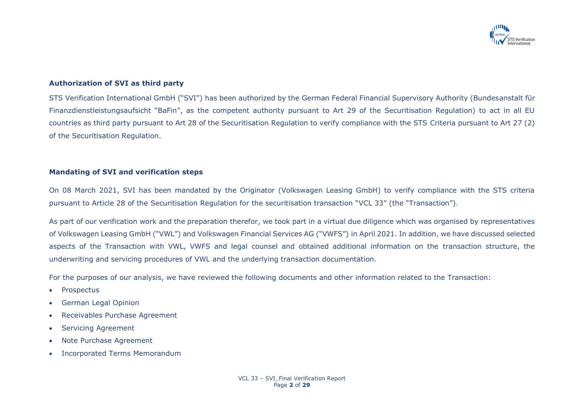

#### **Authorization of SVI as third party**

STS Verification International GmbH ("SVI") has been authorized by the German Federal Financial Supervisory Authority (Bundesanstalt für Finanzdienstleistungsaufsicht "BaFin", as the competent authority pursuant to Art 29 of the Securitisation Regulation) to act in all EU countries as third party pursuant to Art 28 of the Securitisation Regulation to verify compliance with the STS Criteria pursuant to Art 27 (2) of the Securitisation Regulation.

#### **Mandating of SVI and verification steps**

On 08 March 2021, SVI has been mandated by the Originator (Volkswagen Leasing GmbH) to verify compliance with the STS criteria pursuant to Article 28 of the Securitisation Regulation for the securitisation transaction "VCL 33" (the "Transaction").

As part of our verification work and the preparation therefor, we took part in a virtual due diligence which was organised by representatives of Volkswagen Leasing GmbH ("VWL") and Volkswagen Financial Services AG ("VWFS") in April 2021. In addition, we have discussed selected aspects of the Transaction with VWL, VWFS and legal counsel and obtained additional information on the transaction structure, the underwriting and servicing procedures of VWL and the underlying transaction documentation.

For the purposes of our analysis, we have reviewed the following documents and other information related to the Transaction:

- Prospectus
- German Legal Opinion
- Receivables Purchase Agreement
- Servicing Agreement
- Note Purchase Agreement
- Incorporated Terms Memorandum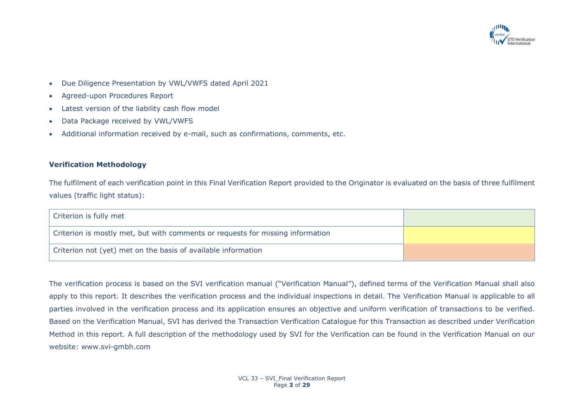

- Due Diligence Presentation by VWL/VWFS dated April 2021
- Agreed-upon Procedures Report
- Latest version of the liability cash flow model
- Data Package received by VWL/VWFS
- Additional information received by e-mail, such as confirmations, comments, etc.

### **Verification Methodology**

The fulfilment of each verification point in this Final Verification Report provided to the Originator is evaluated on the basis of three fulfilment values (traffic light status):

| Criterion is fully met                                                         |  |
|--------------------------------------------------------------------------------|--|
| Criterion is mostly met, but with comments or requests for missing information |  |
| Criterion not (yet) met on the basis of available information                  |  |

The verification process is based on the SVI verification manual ("Verification Manual"), defined terms of the Verification Manual shall also apply to this report. It describes the verification process and the individual inspections in detail. The Verification Manual is applicable to all parties involved in the verification process and its application ensures an objective and uniform verification of transactions to be verified. Based on the Verification Manual, SVI has derived the Transaction Verification Catalogue for this Transaction as described under Verification Method in this report. A full description of the methodology used by SVI for the Verification can be found in the Verification Manual on our website: www.svi-gmbh.com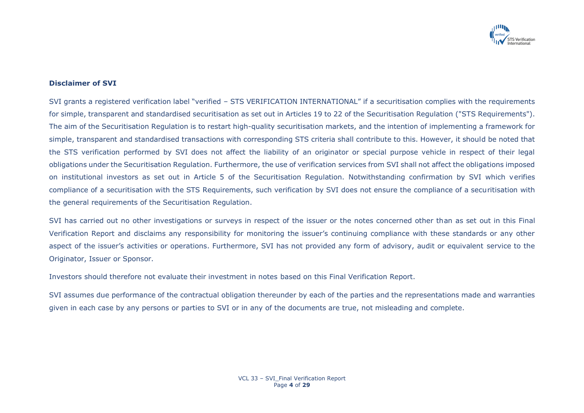

## **Disclaimer of SVI**

SVI grants a registered verification label "verified – STS VERIFICATION INTERNATIONAL" if a securitisation complies with the requirements for simple, transparent and standardised securitisation as set out in Articles 19 to 22 of the Securitisation Regulation ("STS Requirements"). The aim of the Securitisation Regulation is to restart high-quality securitisation markets, and the intention of implementing a framework for simple, transparent and standardised transactions with corresponding STS criteria shall contribute to this. However, it should be noted that the STS verification performed by SVI does not affect the liability of an originator or special purpose vehicle in respect of their legal obligations under the Securitisation Regulation. Furthermore, the use of verification services from SVI shall not affect the obligations imposed on institutional investors as set out in Article 5 of the Securitisation Regulation. Notwithstanding confirmation by SVI which verifies compliance of a securitisation with the STS Requirements, such verification by SVI does not ensure the compliance of a securitisation with the general requirements of the Securitisation Regulation.

SVI has carried out no other investigations or surveys in respect of the issuer or the notes concerned other than as set out in this Final Verification Report and disclaims any responsibility for monitoring the issuer's continuing compliance with these standards or any other aspect of the issuer's activities or operations. Furthermore, SVI has not provided any form of advisory, audit or equivalent service to the Originator, Issuer or Sponsor.

Investors should therefore not evaluate their investment in notes based on this Final Verification Report.

SVI assumes due performance of the contractual obligation thereunder by each of the parties and the representations made and warranties given in each case by any persons or parties to SVI or in any of the documents are true, not misleading and complete.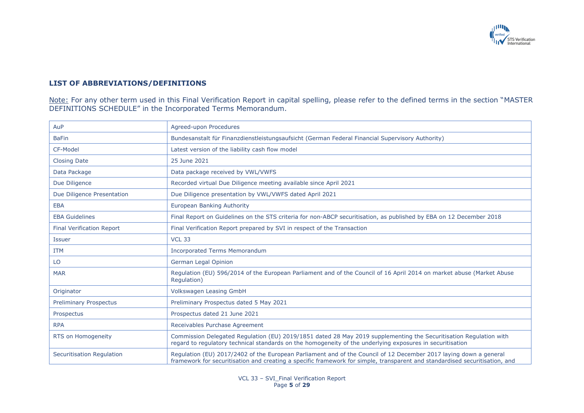

# **LIST OF ABBREVIATIONS/DEFINITIONS**

Note: For any other term used in this Final Verification Report in capital spelling, please refer to the defined terms in the section "MASTER DEFINITIONS SCHEDULE" in the Incorporated Terms Memorandum.

| AuP                              | Agreed-upon Procedures                                                                                                                                                                                                                           |
|----------------------------------|--------------------------------------------------------------------------------------------------------------------------------------------------------------------------------------------------------------------------------------------------|
| <b>BaFin</b>                     | Bundesanstalt für Finanzdienstleistungsaufsicht (German Federal Financial Supervisory Authority)                                                                                                                                                 |
| CF-Model                         | Latest version of the liability cash flow model                                                                                                                                                                                                  |
| <b>Closing Date</b>              | 25 June 2021                                                                                                                                                                                                                                     |
| Data Package                     | Data package received by VWL/VWFS                                                                                                                                                                                                                |
| Due Diligence                    | Recorded virtual Due Diligence meeting available since April 2021                                                                                                                                                                                |
| Due Diligence Presentation       | Due Diligence presentation by VWL/VWFS dated April 2021                                                                                                                                                                                          |
| <b>EBA</b>                       | European Banking Authority                                                                                                                                                                                                                       |
| <b>EBA Guidelines</b>            | Final Report on Guidelines on the STS criteria for non-ABCP securitisation, as published by EBA on 12 December 2018                                                                                                                              |
| <b>Final Verification Report</b> | Final Verification Report prepared by SVI in respect of the Transaction                                                                                                                                                                          |
| <b>Issuer</b>                    | <b>VCL 33</b>                                                                                                                                                                                                                                    |
| <b>ITM</b>                       | <b>Incorporated Terms Memorandum</b>                                                                                                                                                                                                             |
| LO                               | German Legal Opinion                                                                                                                                                                                                                             |
| <b>MAR</b>                       | Regulation (EU) 596/2014 of the European Parliament and of the Council of 16 April 2014 on market abuse (Market Abuse<br>Regulation)                                                                                                             |
| Originator                       | <b>Volkswagen Leasing GmbH</b>                                                                                                                                                                                                                   |
| <b>Preliminary Prospectus</b>    | Preliminary Prospectus dated 5 May 2021                                                                                                                                                                                                          |
| Prospectus                       | Prospectus dated 21 June 2021                                                                                                                                                                                                                    |
| <b>RPA</b>                       | Receivables Purchase Agreement                                                                                                                                                                                                                   |
| RTS on Homogeneity               | Commission Delegated Regulation (EU) 2019/1851 dated 28 May 2019 supplementing the Securitisation Regulation with<br>regard to regulatory technical standards on the homogeneity of the underlying exposures in securitisation                   |
| Securitisation Regulation        | Regulation (EU) 2017/2402 of the European Parliament and of the Council of 12 December 2017 laying down a general<br>framework for securitisation and creating a specific framework for simple, transparent and standardised securitisation, and |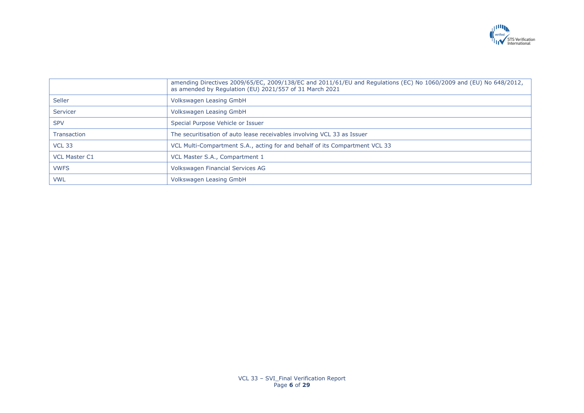

|                      | amending Directives 2009/65/EC, 2009/138/EC and 2011/61/EU and Regulations (EC) No 1060/2009 and (EU) No 648/2012,<br>as amended by Regulation (EU) 2021/557 of 31 March 2021 |
|----------------------|-------------------------------------------------------------------------------------------------------------------------------------------------------------------------------|
| <b>Seller</b>        | Volkswagen Leasing GmbH                                                                                                                                                       |
| Servicer             | Volkswagen Leasing GmbH                                                                                                                                                       |
| <b>SPV</b>           | Special Purpose Vehicle or Issuer                                                                                                                                             |
| <b>Transaction</b>   | The securitisation of auto lease receivables involving VCL 33 as Issuer                                                                                                       |
| <b>VCL 33</b>        | VCL Multi-Compartment S.A., acting for and behalf of its Compartment VCL 33                                                                                                   |
| <b>VCL Master C1</b> | VCL Master S.A., Compartment 1                                                                                                                                                |
| <b>VWFS</b>          | Volkswagen Financial Services AG                                                                                                                                              |
| <b>VWL</b>           | Volkswagen Leasing GmbH                                                                                                                                                       |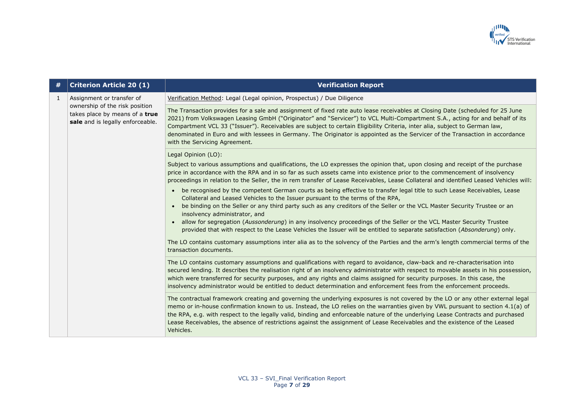

| #            | <b>Criterion Article 20 (1)</b>                                                                                                   | <b>Verification Report</b>                                                                                                                                                                                                                                                                                                                                                                                                                                                                                                                                     |
|--------------|-----------------------------------------------------------------------------------------------------------------------------------|----------------------------------------------------------------------------------------------------------------------------------------------------------------------------------------------------------------------------------------------------------------------------------------------------------------------------------------------------------------------------------------------------------------------------------------------------------------------------------------------------------------------------------------------------------------|
| $\mathbf{1}$ | Assignment or transfer of<br>ownership of the risk position<br>takes place by means of a true<br>sale and is legally enforceable. | Verification Method: Legal (Legal opinion, Prospectus) / Due Diligence                                                                                                                                                                                                                                                                                                                                                                                                                                                                                         |
|              |                                                                                                                                   | The Transaction provides for a sale and assignment of fixed rate auto lease receivables at Closing Date (scheduled for 25 June<br>2021) from Volkswagen Leasing GmbH ("Originator" and "Servicer") to VCL Multi-Compartment S.A., acting for and behalf of its<br>Compartment VCL 33 ("Issuer"). Receivables are subject to certain Eligibility Criteria, inter alia, subject to German law,<br>denominated in Euro and with lessees in Germany. The Originator is appointed as the Servicer of the Transaction in accordance<br>with the Servicing Agreement. |
|              |                                                                                                                                   | Legal Opinion (LO):                                                                                                                                                                                                                                                                                                                                                                                                                                                                                                                                            |
|              |                                                                                                                                   | Subject to various assumptions and qualifications, the LO expresses the opinion that, upon closing and receipt of the purchase<br>price in accordance with the RPA and in so far as such assets came into existence prior to the commencement of insolvency<br>proceedings in relation to the Seller, the in rem transfer of Lease Receivables, Lease Collateral and identified Leased Vehicles will:                                                                                                                                                          |
|              |                                                                                                                                   | be recognised by the competent German courts as being effective to transfer legal title to such Lease Receivables, Lease<br>Collateral and Leased Vehicles to the Issuer pursuant to the terms of the RPA,                                                                                                                                                                                                                                                                                                                                                     |
|              |                                                                                                                                   | be binding on the Seller or any third party such as any creditors of the Seller or the VCL Master Security Trustee or an<br>insolvency administrator, and                                                                                                                                                                                                                                                                                                                                                                                                      |
|              |                                                                                                                                   | • allow for segregation (Aussonderung) in any insolvency proceedings of the Seller or the VCL Master Security Trustee<br>provided that with respect to the Lease Vehicles the Issuer will be entitled to separate satisfaction (Absonderung) only.                                                                                                                                                                                                                                                                                                             |
|              |                                                                                                                                   | The LO contains customary assumptions inter alia as to the solvency of the Parties and the arm's length commercial terms of the<br>transaction documents.                                                                                                                                                                                                                                                                                                                                                                                                      |
|              |                                                                                                                                   | The LO contains customary assumptions and qualifications with regard to avoidance, claw-back and re-characterisation into<br>secured lending. It describes the realisation right of an insolvency administrator with respect to movable assets in his possession,<br>which were transferred for security purposes, and any rights and claims assigned for security purposes. In this case, the<br>insolvency administrator would be entitled to deduct determination and enforcement fees from the enforcement proceeds.                                       |
|              |                                                                                                                                   | The contractual framework creating and governing the underlying exposures is not covered by the LO or any other external legal<br>memo or in-house confirmation known to us. Instead, the LO relies on the warranties given by VWL pursuant to section 4.1(a) of<br>the RPA, e.g. with respect to the legally valid, binding and enforceable nature of the underlying Lease Contracts and purchased<br>Lease Receivables, the absence of restrictions against the assignment of Lease Receivables and the existence of the Leased<br>Vehicles.                 |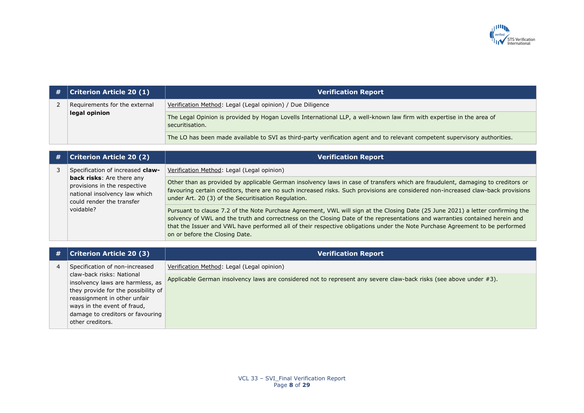

| # | $ $ Criterion Article 20 $(1)$ | <b>Verification Report</b>                                                                                                               |
|---|--------------------------------|------------------------------------------------------------------------------------------------------------------------------------------|
|   | Requirements for the external  | Verification Method: Legal (Legal opinion) / Due Diligence                                                                               |
|   | legal opinion                  | The Legal Opinion is provided by Hogan Lovells International LLP, a well-known law firm with expertise in the area of<br>securitisation. |
|   |                                | The LO has been made available to SVI as third-party verification agent and to relevant competent supervisory authorities.               |

| # | <b>Criterion Article 20 (2)</b>                                                                                         | <b>Verification Report</b>                                                                                                                                                                                                                                                                                                                                                                                                        |
|---|-------------------------------------------------------------------------------------------------------------------------|-----------------------------------------------------------------------------------------------------------------------------------------------------------------------------------------------------------------------------------------------------------------------------------------------------------------------------------------------------------------------------------------------------------------------------------|
|   | Specification of increased claw-                                                                                        | Verification Method: Legal (Legal opinion)                                                                                                                                                                                                                                                                                                                                                                                        |
|   | back risks: Are there any<br>provisions in the respective<br>national insolvency law which<br>could render the transfer | Other than as provided by applicable German insolvency laws in case of transfers which are fraudulent, damaging to creditors or<br>favouring certain creditors, there are no such increased risks. Such provisions are considered non-increased claw-back provisions<br>under Art. 20 (3) of the Securitisation Regulation.                                                                                                       |
|   | voidable?                                                                                                               | Pursuant to clause 7.2 of the Note Purchase Agreement, VWL will sign at the Closing Date (25 June 2021) a letter confirming the<br>solvency of VWL and the truth and correctness on the Closing Date of the representations and warranties contained herein and<br>that the Issuer and VWL have performed all of their respective obligations under the Note Purchase Agreement to be performed<br>on or before the Closing Date. |

| # | <b>Criterion Article 20 (3)</b>                               | <b>Verification Report</b>                                                                                         |
|---|---------------------------------------------------------------|--------------------------------------------------------------------------------------------------------------------|
|   | Specification of non-increased                                | Verification Method: Legal (Legal opinion)                                                                         |
|   | claw-back risks: National<br>insolvency laws are harmless, as | Applicable German insolvency laws are considered not to represent any severe claw-back risks (see above under #3). |
|   | they provide for the possibility of                           |                                                                                                                    |
|   | reassignment in other unfair                                  |                                                                                                                    |
|   | ways in the event of fraud,                                   |                                                                                                                    |
|   | damage to creditors or favouring                              |                                                                                                                    |
|   | other creditors.                                              |                                                                                                                    |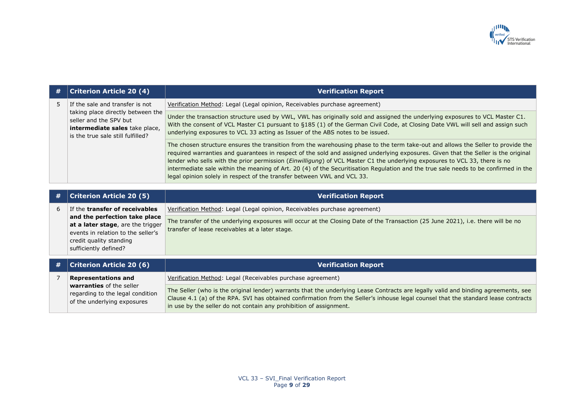

| # | <b>Criterion Article 20 (4)</b>                                                                                                                                                                | <b>Verification Report</b>                                                                                                                                                                                                                                                                                                                                                                                                                                                                                                                                                                                                      |
|---|------------------------------------------------------------------------------------------------------------------------------------------------------------------------------------------------|---------------------------------------------------------------------------------------------------------------------------------------------------------------------------------------------------------------------------------------------------------------------------------------------------------------------------------------------------------------------------------------------------------------------------------------------------------------------------------------------------------------------------------------------------------------------------------------------------------------------------------|
| 5 | If the sale and transfer is not                                                                                                                                                                | Verification Method: Legal (Legal opinion, Receivables purchase agreement)                                                                                                                                                                                                                                                                                                                                                                                                                                                                                                                                                      |
|   | taking place directly between the<br>seller and the SPV but<br>intermediate sales take place,<br>is the true sale still fulfilled?                                                             | Under the transaction structure used by VWL, VWL has originally sold and assigned the underlying exposures to VCL Master C1.<br>With the consent of VCL Master C1 pursuant to §185 (1) of the German Civil Code, at Closing Date VWL will sell and assign such<br>underlying exposures to VCL 33 acting as Issuer of the ABS notes to be issued.                                                                                                                                                                                                                                                                                |
|   |                                                                                                                                                                                                | The chosen structure ensures the transition from the warehousing phase to the term take-out and allows the Seller to provide the<br>required warranties and guarantees in respect of the sold and assigned underlying exposures. Given that the Seller is the original<br>lender who sells with the prior permission ( <i>Einwilligung</i> ) of VCL Master C1 the underlying exposures to VCL 33, there is no<br>intermediate sale within the meaning of Art. 20 (4) of the Securitisation Regulation and the true sale needs to be confirmed in the<br>legal opinion solely in respect of the transfer between VWL and VCL 33. |
|   |                                                                                                                                                                                                |                                                                                                                                                                                                                                                                                                                                                                                                                                                                                                                                                                                                                                 |
| # | <b>Criterion Article 20 (5)</b>                                                                                                                                                                | <b>Verification Report</b>                                                                                                                                                                                                                                                                                                                                                                                                                                                                                                                                                                                                      |
| 6 | If the transfer of receivables<br>and the perfection take place<br>at a later stage, are the trigger<br>events in relation to the seller's<br>credit quality standing<br>sufficiently defined? | Verification Method: Legal (Legal opinion, Receivables purchase agreement)                                                                                                                                                                                                                                                                                                                                                                                                                                                                                                                                                      |
|   |                                                                                                                                                                                                | The transfer of the underlying exposures will occur at the Closing Date of the Transaction (25 June 2021), i.e. there will be no<br>transfer of lease receivables at a later stage.                                                                                                                                                                                                                                                                                                                                                                                                                                             |
| # | <b>Criterion Article 20 (6)</b>                                                                                                                                                                | <b>Verification Report</b>                                                                                                                                                                                                                                                                                                                                                                                                                                                                                                                                                                                                      |
| 7 | <b>Representations and</b><br>warranties of the seller<br>regarding to the legal condition<br>of the underlying exposures                                                                      | Verification Method: Legal (Receivables purchase agreement)                                                                                                                                                                                                                                                                                                                                                                                                                                                                                                                                                                     |
|   |                                                                                                                                                                                                | The Seller (who is the original lender) warrants that the underlying Lease Contracts are legally valid and binding agreements, see<br>Clause 4.1 (a) of the RPA. SVI has obtained confirmation from the Seller's inhouse legal counsel that the standard lease contracts<br>in use by the seller do not contain any prohibition of assignment.                                                                                                                                                                                                                                                                                  |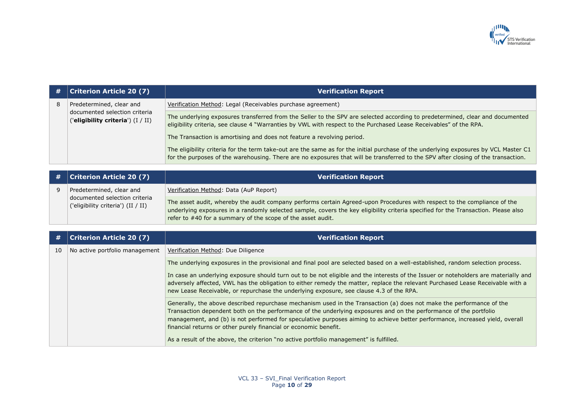

| # | <b>Criterion Article 20 (7)</b>                                                                | <b>Verification Report</b>                                                                                                                                                                                                                                                |
|---|------------------------------------------------------------------------------------------------|---------------------------------------------------------------------------------------------------------------------------------------------------------------------------------------------------------------------------------------------------------------------------|
| 8 | Predetermined, clear and<br>documented selection criteria<br>('eligibility criteria') (I / II) | Verification Method: Legal (Receivables purchase agreement)                                                                                                                                                                                                               |
|   |                                                                                                | The underlying exposures transferred from the Seller to the SPV are selected according to predetermined, clear and documented<br>eligibility criteria, see clause 4 "Warranties by VWL with respect to the Purchased Lease Receivables" of the RPA.                       |
|   |                                                                                                | The Transaction is amortising and does not feature a revolving period.                                                                                                                                                                                                    |
|   |                                                                                                | The eligibility criteria for the term take-out are the same as for the initial purchase of the underlying exposures by VCL Master C1<br>for the purposes of the warehousing. There are no exposures that will be transferred to the SPV after closing of the transaction. |

| # | <b>Criterion Article 20 (7)</b>                                     | <b>Verification Report</b>                                                                                                                                                                                                                                                                                                    |
|---|---------------------------------------------------------------------|-------------------------------------------------------------------------------------------------------------------------------------------------------------------------------------------------------------------------------------------------------------------------------------------------------------------------------|
|   | Predetermined, clear and                                            | Verification Method: Data (AuP Report)                                                                                                                                                                                                                                                                                        |
|   | documented selection criteria<br>('eligibility criteria') (II / II) | The asset audit, whereby the audit company performs certain Agreed-upon Procedures with respect to the compliance of the<br>underlying exposures in a randomly selected sample, covers the key eligibility criteria specified for the Transaction. Please also<br>refer to #40 for a summary of the scope of the asset audit. |

| #  | <b>Criterion Article 20 (7)</b> | <b>Verification Report</b>                                                                                                                                                                                                                                                                                                                                                                                                                    |
|----|---------------------------------|-----------------------------------------------------------------------------------------------------------------------------------------------------------------------------------------------------------------------------------------------------------------------------------------------------------------------------------------------------------------------------------------------------------------------------------------------|
| 10 | No active portfolio management  | Verification Method: Due Diligence                                                                                                                                                                                                                                                                                                                                                                                                            |
|    |                                 | The underlying exposures in the provisional and final pool are selected based on a well-established, random selection process.                                                                                                                                                                                                                                                                                                                |
|    |                                 | In case an underlying exposure should turn out to be not eligible and the interests of the Issuer or noteholders are materially and<br>adversely affected, VWL has the obligation to either remedy the matter, replace the relevant Purchased Lease Receivable with a<br>new Lease Receivable, or repurchase the underlying exposure, see clause 4.3 of the RPA.                                                                              |
|    |                                 | Generally, the above described repurchase mechanism used in the Transaction (a) does not make the performance of the<br>Transaction dependent both on the performance of the underlying exposures and on the performance of the portfolio<br>management, and (b) is not performed for speculative purposes aiming to achieve better performance, increased yield, overall<br>financial returns or other purely financial or economic benefit. |
|    |                                 | As a result of the above, the criterion "no active portfolio management" is fulfilled.                                                                                                                                                                                                                                                                                                                                                        |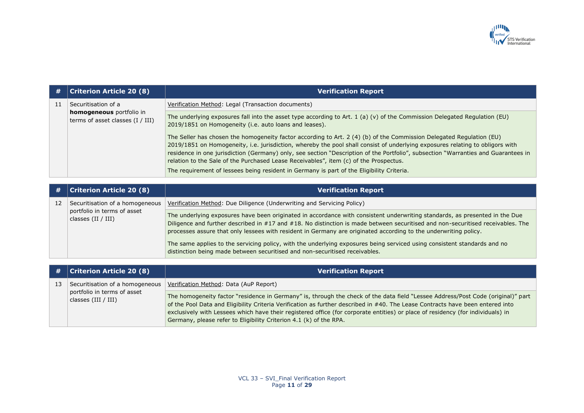

| #  | <b>Criterion Article 20 (8)</b>                                                         | <b>Verification Report</b>                                                                                                                                                                                                                                                                                                                                                                                                                                                           |
|----|-----------------------------------------------------------------------------------------|--------------------------------------------------------------------------------------------------------------------------------------------------------------------------------------------------------------------------------------------------------------------------------------------------------------------------------------------------------------------------------------------------------------------------------------------------------------------------------------|
| 11 | Securitisation of a                                                                     | Verification Method: Legal (Transaction documents)                                                                                                                                                                                                                                                                                                                                                                                                                                   |
|    | homogeneous portfolio in<br>terms of asset classes $(I / III)$                          | The underlying exposures fall into the asset type according to Art. 1 (a) (v) of the Commission Delegated Regulation (EU)<br>2019/1851 on Homogeneity (i.e. auto loans and leases).                                                                                                                                                                                                                                                                                                  |
|    |                                                                                         | The Seller has chosen the homogeneity factor according to Art. 2 (4) (b) of the Commission Delegated Regulation (EU)<br>2019/1851 on Homogeneity, i.e. jurisdiction, whereby the pool shall consist of underlying exposures relating to obligors with<br>residence in one jurisdiction (Germany) only, see section "Description of the Portfolio", subsection "Warranties and Guarantees in<br>relation to the Sale of the Purchased Lease Receivables", item (c) of the Prospectus. |
|    |                                                                                         | The requirement of lessees being resident in Germany is part of the Eligibility Criteria.                                                                                                                                                                                                                                                                                                                                                                                            |
|    |                                                                                         |                                                                                                                                                                                                                                                                                                                                                                                                                                                                                      |
| #  | <b>Criterion Article 20 (8)</b>                                                         | <b>Verification Report</b>                                                                                                                                                                                                                                                                                                                                                                                                                                                           |
| 12 | Securitisation of a homogeneous                                                         | Verification Method: Due Diligence (Underwriting and Servicing Policy)                                                                                                                                                                                                                                                                                                                                                                                                               |
|    | portfolio in terms of asset<br>classes $(II / III)$                                     | The underlying exposures have been originated in accordance with consistent underwriting standards, as presented in the Due<br>Diligence and further described in #17 and #18. No distinction is made between securitised and non-securitised receivables. The<br>processes assure that only lessees with resident in Germany are originated according to the underwriting policy.                                                                                                   |
|    |                                                                                         | The same applies to the servicing policy, with the underlying exposures being serviced using consistent standards and no<br>distinction being made between securitised and non-securitised receivables.                                                                                                                                                                                                                                                                              |
|    |                                                                                         |                                                                                                                                                                                                                                                                                                                                                                                                                                                                                      |
| #  | <b>Criterion Article 20 (8)</b>                                                         | <b>Verification Report</b>                                                                                                                                                                                                                                                                                                                                                                                                                                                           |
| 13 | Securitisation of a homogeneous<br>portfolio in terms of asset<br>classes $(III / III)$ | Verification Method: Data (AuP Report)                                                                                                                                                                                                                                                                                                                                                                                                                                               |
|    |                                                                                         | The homogeneity factor "residence in Germany" is, through the check of the data field "Lessee Address/Post Code (original)" part<br>of the Pool Data and Eligibility Criteria Verification as further described in #40. The Lease Contracts have been entered into<br>exclusively with Lessees which have their registered office (for corporate entities) or place of residency (for individuals) in<br>Germany, please refer to Eligibility Criterion 4.1 (k) of the RPA.          |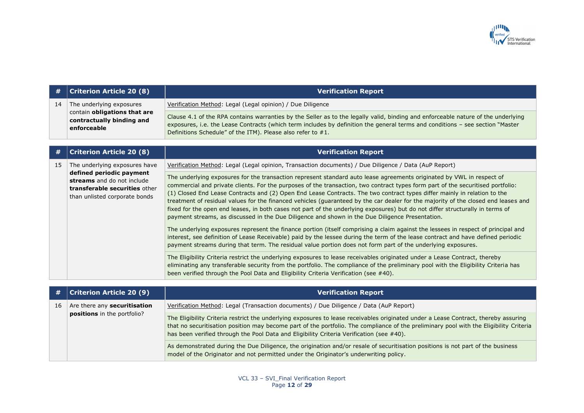

|    | $\#$   Criterion Article 20 (8)                                          | <b>Verification Report</b>                                                                                                                                                                                                                                                                                                         |
|----|--------------------------------------------------------------------------|------------------------------------------------------------------------------------------------------------------------------------------------------------------------------------------------------------------------------------------------------------------------------------------------------------------------------------|
| 14 | The underlying exposures                                                 | Verification Method: Legal (Legal opinion) / Due Diligence                                                                                                                                                                                                                                                                         |
|    | contain obligations that are<br>contractually binding and<br>enforceable | Clause 4.1 of the RPA contains warranties by the Seller as to the legally valid, binding and enforceable nature of the underlying<br>exposures, i.e. the Lease Contracts (which term includes by definition the general terms and conditions - see section "Master"<br>Definitions Schedule" of the ITM). Please also refer to #1. |

| #  | <b>Criterion Article 20 (8)</b>                                                                                                 | <b>Verification Report</b>                                                                                                                                                                                                                                                                                                                                                                                                                                                                                                                                                                                                                                                                                                                                     |
|----|---------------------------------------------------------------------------------------------------------------------------------|----------------------------------------------------------------------------------------------------------------------------------------------------------------------------------------------------------------------------------------------------------------------------------------------------------------------------------------------------------------------------------------------------------------------------------------------------------------------------------------------------------------------------------------------------------------------------------------------------------------------------------------------------------------------------------------------------------------------------------------------------------------|
| 15 | The underlying exposures have                                                                                                   | Verification Method: Legal (Legal opinion, Transaction documents) / Due Diligence / Data (AuP Report)                                                                                                                                                                                                                                                                                                                                                                                                                                                                                                                                                                                                                                                          |
|    | defined periodic payment<br>streams and do not include<br><b>transferable securities other</b><br>than unlisted corporate bonds | The underlying exposures for the transaction represent standard auto lease agreements originated by VWL in respect of<br>commercial and private clients. For the purposes of the transaction, two contract types form part of the securitised portfolio:<br>(1) Closed End Lease Contracts and (2) Open End Lease Contracts. The two contract types differ mainly in relation to the<br>treatment of residual values for the financed vehicles (guaranteed by the car dealer for the majority of the closed end leases and<br>fixed for the open end leases, in both cases not part of the underlying exposures) but do not differ structurally in terms of<br>payment streams, as discussed in the Due Diligence and shown in the Due Diligence Presentation. |
|    |                                                                                                                                 | The underlying exposures represent the finance portion (itself comprising a claim against the lessees in respect of principal and<br>interest, see definition of Lease Receivable) paid by the lessee during the term of the lease contract and have defined periodic<br>payment streams during that term. The residual value portion does not form part of the underlying exposures.                                                                                                                                                                                                                                                                                                                                                                          |
|    |                                                                                                                                 | The Eligibility Criteria restrict the underlying exposures to lease receivables originated under a Lease Contract, thereby<br>eliminating any transferable security from the portfolio. The compliance of the preliminary pool with the Eligibility Criteria has<br>been verified through the Pool Data and Eligibility Criteria Verification (see #40).                                                                                                                                                                                                                                                                                                                                                                                                       |

| #  | <b>Criterion Article 20 (9)</b>                                           | <b>Verification Report</b>                                                                                                                                                                                                                                                                                                                                                |
|----|---------------------------------------------------------------------------|---------------------------------------------------------------------------------------------------------------------------------------------------------------------------------------------------------------------------------------------------------------------------------------------------------------------------------------------------------------------------|
| 16 | Are there any <b>securitisation</b><br><b>positions</b> in the portfolio? | Verification Method: Legal (Transaction documents) / Due Diligence / Data (AuP Report)                                                                                                                                                                                                                                                                                    |
|    |                                                                           | The Eligibility Criteria restrict the underlying exposures to lease receivables originated under a Lease Contract, thereby assuring<br>that no securitisation position may become part of the portfolio. The compliance of the preliminary pool with the Eligibility Criteria<br>has been verified through the Pool Data and Eligibility Criteria Verification (see #40). |
|    |                                                                           | As demonstrated during the Due Diligence, the origination and/or resale of securitisation positions is not part of the business<br>model of the Originator and not permitted under the Originator's underwriting policy.                                                                                                                                                  |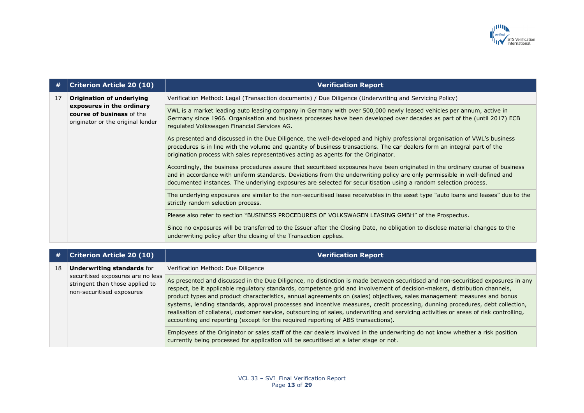

| #  | <b>Criterion Article 20 (10)</b>                                                                                         | <b>Verification Report</b>                                                                                                                                                                                                                                                                                                                                                       |
|----|--------------------------------------------------------------------------------------------------------------------------|----------------------------------------------------------------------------------------------------------------------------------------------------------------------------------------------------------------------------------------------------------------------------------------------------------------------------------------------------------------------------------|
| 17 | Origination of underlying<br>exposures in the ordinary<br>course of business of the<br>originator or the original lender | Verification Method: Legal (Transaction documents) / Due Diligence (Underwriting and Servicing Policy)                                                                                                                                                                                                                                                                           |
|    |                                                                                                                          | VWL is a market leading auto leasing company in Germany with over 500,000 newly leased vehicles per annum, active in<br>Germany since 1966. Organisation and business processes have been developed over decades as part of the (until 2017) ECB<br>regulated Volkswagen Financial Services AG.                                                                                  |
|    |                                                                                                                          | As presented and discussed in the Due Diligence, the well-developed and highly professional organisation of VWL's business<br>procedures is in line with the volume and quantity of business transactions. The car dealers form an integral part of the<br>origination process with sales representatives acting as agents for the Originator.                                   |
|    |                                                                                                                          | Accordingly, the business procedures assure that securitised exposures have been originated in the ordinary course of business<br>and in accordance with uniform standards. Deviations from the underwriting policy are only permissible in well-defined and<br>documented instances. The underlying exposures are selected for securitisation using a random selection process. |
|    |                                                                                                                          | The underlying exposures are similar to the non-securitised lease receivables in the asset type "auto loans and leases" due to the<br>strictly random selection process.                                                                                                                                                                                                         |
|    |                                                                                                                          | Please also refer to section "BUSINESS PROCEDURES OF VOLKSWAGEN LEASING GMBH" of the Prospectus.                                                                                                                                                                                                                                                                                 |
|    |                                                                                                                          | Since no exposures will be transferred to the Issuer after the Closing Date, no obligation to disclose material changes to the<br>underwriting policy after the closing of the Transaction applies.                                                                                                                                                                              |

| #  | <b>Criterion Article 20 (10)</b>                                                                                                       | <b>Verification Report</b>                                                                                                                                                                                                                                                                                                                                                                                                                                                                                                                                                                                                                                                                                                                                 |
|----|----------------------------------------------------------------------------------------------------------------------------------------|------------------------------------------------------------------------------------------------------------------------------------------------------------------------------------------------------------------------------------------------------------------------------------------------------------------------------------------------------------------------------------------------------------------------------------------------------------------------------------------------------------------------------------------------------------------------------------------------------------------------------------------------------------------------------------------------------------------------------------------------------------|
| 18 | <b>Underwriting standards for</b><br>securitised exposures are no less<br>stringent than those applied to<br>non-securitised exposures | Verification Method: Due Diligence                                                                                                                                                                                                                                                                                                                                                                                                                                                                                                                                                                                                                                                                                                                         |
|    |                                                                                                                                        | As presented and discussed in the Due Diligence, no distinction is made between securitised and non-securitised exposures in any<br>respect, be it applicable regulatory standards, competence grid and involvement of decision-makers, distribution channels,<br>product types and product characteristics, annual agreements on (sales) objectives, sales management measures and bonus<br>systems, lending standards, approval processes and incentive measures, credit processing, dunning procedures, debt collection,<br>realisation of collateral, customer service, outsourcing of sales, underwriting and servicing activities or areas of risk controlling,<br>accounting and reporting (except for the required reporting of ABS transactions). |
|    |                                                                                                                                        | Employees of the Originator or sales staff of the car dealers involved in the underwriting do not know whether a risk position<br>currently being processed for application will be securitised at a later stage or not.                                                                                                                                                                                                                                                                                                                                                                                                                                                                                                                                   |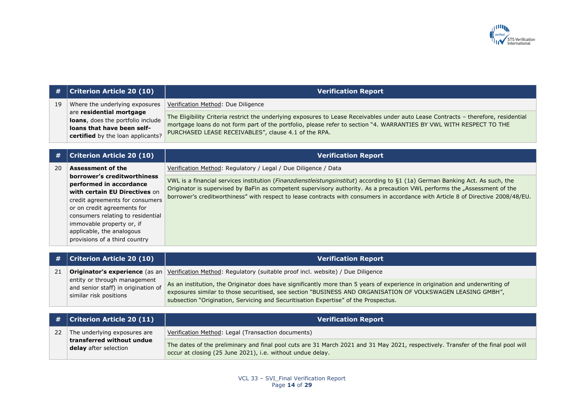

|    | <b>Criterion Article 20 (10)</b>                                                                                                                                                                                                                                                          | <b>Verification Report</b>                                                                                                                                                                                                                                                                                                                                                                               |
|----|-------------------------------------------------------------------------------------------------------------------------------------------------------------------------------------------------------------------------------------------------------------------------------------------|----------------------------------------------------------------------------------------------------------------------------------------------------------------------------------------------------------------------------------------------------------------------------------------------------------------------------------------------------------------------------------------------------------|
| 19 | Where the underlying exposures<br>are residential mortgage<br>loans, does the portfolio include<br>loans that have been self-<br>certified by the loan applicants?                                                                                                                        | Verification Method: Due Diligence                                                                                                                                                                                                                                                                                                                                                                       |
|    |                                                                                                                                                                                                                                                                                           | The Eligibility Criteria restrict the underlying exposures to Lease Receivables under auto Lease Contracts - therefore, residential<br>mortgage loans do not form part of the portfolio, please refer to section "4. WARRANTIES BY VWL WITH RESPECT TO THE<br>PURCHASED LEASE RECEIVABLES", clause 4.1 of the RPA.                                                                                       |
|    | <b>Criterion Article 20 (10)</b>                                                                                                                                                                                                                                                          | <b>Verification Report</b>                                                                                                                                                                                                                                                                                                                                                                               |
| 20 | <b>Assessment of the</b>                                                                                                                                                                                                                                                                  | Verification Method: Regulatory / Legal / Due Diligence / Data                                                                                                                                                                                                                                                                                                                                           |
|    | borrower's creditworthiness<br>performed in accordance<br>with certain EU Directives on<br>credit agreements for consumers<br>or on credit agreements for<br>consumers relating to residential<br>immovable property or, if<br>applicable, the analogous<br>provisions of a third country | VWL is a financial services institution ( <i>Finanzdienstleistungsinstitut</i> ) according to §1 (1a) German Banking Act. As such, the<br>Originator is supervised by BaFin as competent supervisory authority. As a precaution VWL performs the "Assessment of the<br>borrower's creditworthiness" with respect to lease contracts with consumers in accordance with Article 8 of Directive 2008/48/EU. |
|    | <b>Criterion Article 20 (10)</b>                                                                                                                                                                                                                                                          | <b>Verification Report</b>                                                                                                                                                                                                                                                                                                                                                                               |
| 21 | Originator's experience (as an<br>entity or through management<br>and senior staff) in origination of<br>similar risk positions                                                                                                                                                           | Verification Method: Regulatory (suitable proof incl. website) / Due Diligence                                                                                                                                                                                                                                                                                                                           |
|    |                                                                                                                                                                                                                                                                                           | As an institution, the Originator does have significantly more than 5 years of experience in origination and underwriting of<br>exposures similar to those securitised, see section "BUSINESS AND ORGANISATION OF VOLKSWAGEN LEASING GMBH",<br>subsection "Origination, Servicing and Securitisation Expertise" of the Prospectus.                                                                       |
|    | <b>Criterion Article 20 (11)</b>                                                                                                                                                                                                                                                          | <b>Verification Report</b>                                                                                                                                                                                                                                                                                                                                                                               |
| 22 | The underlying exposures are                                                                                                                                                                                                                                                              | Verification Method: Legal (Transaction documents)                                                                                                                                                                                                                                                                                                                                                       |
|    | transferred without undue<br>delay after selection                                                                                                                                                                                                                                        | The dates of the preliminary and final pool cuts are 31 March 2021 and 31 May 2021, respectively. Transfer of the final pool will<br>occur at closing (25 June 2021), i.e. without undue delay.                                                                                                                                                                                                          |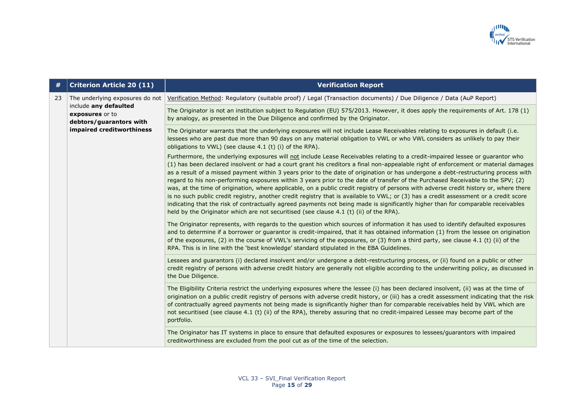

| #  | <b>Criterion Article 20 (11)</b>                                    | <b>Verification Report</b>                                                                                                                                                                                                                                                                                                                                                                                                                                                                                                                                                                                                                                                                                                                                                                                                                                                                                                                                                                                                                                    |
|----|---------------------------------------------------------------------|---------------------------------------------------------------------------------------------------------------------------------------------------------------------------------------------------------------------------------------------------------------------------------------------------------------------------------------------------------------------------------------------------------------------------------------------------------------------------------------------------------------------------------------------------------------------------------------------------------------------------------------------------------------------------------------------------------------------------------------------------------------------------------------------------------------------------------------------------------------------------------------------------------------------------------------------------------------------------------------------------------------------------------------------------------------|
| 23 | The underlying exposures do not                                     | Verification Method: Regulatory (suitable proof) / Legal (Transaction documents) / Due Diligence / Data (AuP Report)                                                                                                                                                                                                                                                                                                                                                                                                                                                                                                                                                                                                                                                                                                                                                                                                                                                                                                                                          |
|    | include any defaulted<br>exposures or to<br>debtors/guarantors with | The Originator is not an institution subject to Regulation (EU) 575/2013. However, it does apply the requirements of Art. 178 (1)<br>by analogy, as presented in the Due Diligence and confirmed by the Originator.                                                                                                                                                                                                                                                                                                                                                                                                                                                                                                                                                                                                                                                                                                                                                                                                                                           |
|    | impaired creditworthiness                                           | The Originator warrants that the underlying exposures will not include Lease Receivables relating to exposures in default (i.e.<br>lessees who are past due more than 90 days on any material obligation to VWL or who VWL considers as unlikely to pay their<br>obligations to VWL) (see clause 4.1 (t) (i) of the RPA).                                                                                                                                                                                                                                                                                                                                                                                                                                                                                                                                                                                                                                                                                                                                     |
|    |                                                                     | Furthermore, the underlying exposures will not include Lease Receivables relating to a credit-impaired lessee or guarantor who<br>(1) has been declared insolvent or had a court grant his creditors a final non-appealable right of enforcement or material damages<br>as a result of a missed payment within 3 years prior to the date of origination or has undergone a debt-restructuring process with<br>regard to his non-performing exposures within 3 years prior to the date of transfer of the Purchased Receivable to the SPV; (2)<br>was, at the time of origination, where applicable, on a public credit registry of persons with adverse credit history or, where there<br>is no such public credit registry, another credit registry that is available to VWL; or (3) has a credit assessment or a credit score<br>indicating that the risk of contractually agreed payments not being made is significantly higher than for comparable receivables<br>held by the Originator which are not securitised (see clause 4.1 (t) (ii) of the RPA). |
|    |                                                                     | The Originator represents, with regards to the question which sources of information it has used to identify defaulted exposures<br>and to determine if a borrower or guarantor is credit-impaired, that it has obtained information (1) from the lessee on origination<br>of the exposures, (2) in the course of VWL's servicing of the exposures, or (3) from a third party, see clause 4.1 (t) (ii) of the<br>RPA. This is in line with the 'best knowledge' standard stipulated in the EBA Guidelines.                                                                                                                                                                                                                                                                                                                                                                                                                                                                                                                                                    |
|    |                                                                     | Lessees and guarantors (i) declared insolvent and/or undergone a debt-restructuring process, or (ii) found on a public or other<br>credit registry of persons with adverse credit history are generally not eligible according to the underwriting policy, as discussed in<br>the Due Diligence.                                                                                                                                                                                                                                                                                                                                                                                                                                                                                                                                                                                                                                                                                                                                                              |
|    |                                                                     | The Eligibility Criteria restrict the underlying exposures where the lessee (i) has been declared insolvent, (ii) was at the time of<br>origination on a public credit registry of persons with adverse credit history, or (iii) has a credit assessment indicating that the risk<br>of contractually agreed payments not being made is significantly higher than for comparable receivables held by VWL which are<br>not securitised (see clause 4.1 (t) (ii) of the RPA), thereby assuring that no credit-impaired Lessee may become part of the<br>portfolio.                                                                                                                                                                                                                                                                                                                                                                                                                                                                                              |
|    |                                                                     | The Originator has IT systems in place to ensure that defaulted exposures or exposures to lessees/guarantors with impaired<br>creditworthiness are excluded from the pool cut as of the time of the selection.                                                                                                                                                                                                                                                                                                                                                                                                                                                                                                                                                                                                                                                                                                                                                                                                                                                |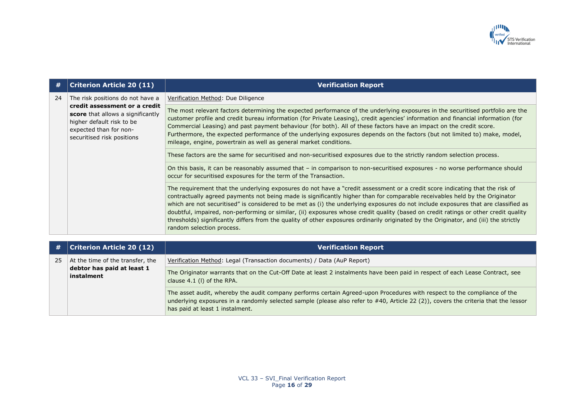

| #  | <b>Criterion Article 20 (11)</b>                                                                                                                                                            | <b>Verification Report</b>                                                                                                                                                                                                                                                                                                                                                                                                                                                                                                                                                                                                                                                                                     |
|----|---------------------------------------------------------------------------------------------------------------------------------------------------------------------------------------------|----------------------------------------------------------------------------------------------------------------------------------------------------------------------------------------------------------------------------------------------------------------------------------------------------------------------------------------------------------------------------------------------------------------------------------------------------------------------------------------------------------------------------------------------------------------------------------------------------------------------------------------------------------------------------------------------------------------|
| 24 | The risk positions do not have a<br>credit assessment or a credit<br>score that allows a significantly<br>higher default risk to be<br>expected than for non-<br>securitised risk positions | Verification Method: Due Diligence                                                                                                                                                                                                                                                                                                                                                                                                                                                                                                                                                                                                                                                                             |
|    |                                                                                                                                                                                             | The most relevant factors determining the expected performance of the underlying exposures in the securitised portfolio are the<br>customer profile and credit bureau information (for Private Leasing), credit agencies' information and financial information (for<br>Commercial Leasing) and past payment behaviour (for both). All of these factors have an impact on the credit score.<br>Furthermore, the expected performance of the underlying exposures depends on the factors (but not limited to) make, model,<br>mileage, engine, powertrain as well as general market conditions.                                                                                                                 |
|    |                                                                                                                                                                                             | These factors are the same for securitised and non-securitised exposures due to the strictly random selection process.                                                                                                                                                                                                                                                                                                                                                                                                                                                                                                                                                                                         |
|    |                                                                                                                                                                                             | On this basis, it can be reasonably assumed that - in comparison to non-securitised exposures - no worse performance should<br>occur for securitised exposures for the term of the Transaction.                                                                                                                                                                                                                                                                                                                                                                                                                                                                                                                |
|    |                                                                                                                                                                                             | The requirement that the underlying exposures do not have a "credit assessment or a credit score indicating that the risk of<br>contractually agreed payments not being made is significantly higher than for comparable receivables held by the Originator<br>which are not securitised" is considered to be met as (i) the underlying exposures do not include exposures that are classified as<br>doubtful, impaired, non-performing or similar, (ii) exposures whose credit quality (based on credit ratings or other credit quality<br>thresholds) significantly differs from the quality of other exposures ordinarily originated by the Originator, and (iii) the strictly<br>random selection process. |
| #  | <b>Criterion Article 20 (12)</b>                                                                                                                                                            | <b>Verification Report</b>                                                                                                                                                                                                                                                                                                                                                                                                                                                                                                                                                                                                                                                                                     |
|    |                                                                                                                                                                                             |                                                                                                                                                                                                                                                                                                                                                                                                                                                                                                                                                                                                                                                                                                                |
| 25 | At the time of the transfer, the<br>debtor has paid at least 1                                                                                                                              | Verification Method: Legal (Transaction documents) / Data (AuP Report)                                                                                                                                                                                                                                                                                                                                                                                                                                                                                                                                                                                                                                         |
|    |                                                                                                                                                                                             | – okupisan kutha kama kutha kutha kutha kutha kutha kutha kutha kutha kutha kutha kutha kutha kutha kutha kutha                                                                                                                                                                                                                                                                                                                                                                                                                                                                                                                                                                                                |

**instalment**

The Originator warrants that on the Cut-Off Date at least 2 instalments have been paid in respect of each Lease Contract, see clause 4.1 (l) of the RPA.

The asset audit, whereby the audit company performs certain Agreed-upon Procedures with respect to the compliance of the underlying exposures in a randomly selected sample (please also refer to #40, Article 22 (2)), covers the criteria that the lessor has paid at least 1 instalment.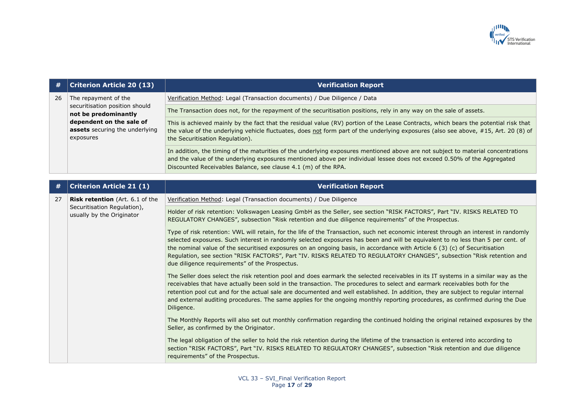

| #  | <b>Criterion Article 20 (13)</b>                                                                                                                          | <b>Verification Report</b>                                                                                                                                                                                                                                                                                                                                                                                                                                                                                                                                                        |
|----|-----------------------------------------------------------------------------------------------------------------------------------------------------------|-----------------------------------------------------------------------------------------------------------------------------------------------------------------------------------------------------------------------------------------------------------------------------------------------------------------------------------------------------------------------------------------------------------------------------------------------------------------------------------------------------------------------------------------------------------------------------------|
| 26 | The repayment of the<br>securitisation position should<br>not be predominantly<br>dependent on the sale of<br>assets securing the underlying<br>exposures | Verification Method: Legal (Transaction documents) / Due Diligence / Data                                                                                                                                                                                                                                                                                                                                                                                                                                                                                                         |
|    |                                                                                                                                                           | The Transaction does not, for the repayment of the securitisation positions, rely in any way on the sale of assets.                                                                                                                                                                                                                                                                                                                                                                                                                                                               |
|    |                                                                                                                                                           | This is achieved mainly by the fact that the residual value (RV) portion of the Lease Contracts, which bears the potential risk that<br>the value of the underlying vehicle fluctuates, does not form part of the underlying exposures (also see above, #15, Art. 20 (8) of<br>the Securitisation Regulation).                                                                                                                                                                                                                                                                    |
|    |                                                                                                                                                           | In addition, the timing of the maturities of the underlying exposures mentioned above are not subject to material concentrations<br>and the value of the underlying exposures mentioned above per individual lessee does not exceed 0.50% of the Aggregated<br>Discounted Receivables Balance, see clause 4.1 (m) of the RPA.                                                                                                                                                                                                                                                     |
| #  | <b>Criterion Article 21 (1)</b>                                                                                                                           | <b>Verification Report</b>                                                                                                                                                                                                                                                                                                                                                                                                                                                                                                                                                        |
|    |                                                                                                                                                           |                                                                                                                                                                                                                                                                                                                                                                                                                                                                                                                                                                                   |
| 27 | Risk retention (Art. 6.1 of the<br>Securitisation Regulation),                                                                                            | Verification Method: Legal (Transaction documents) / Due Diligence                                                                                                                                                                                                                                                                                                                                                                                                                                                                                                                |
|    | usually by the Originator                                                                                                                                 | Holder of risk retention: Volkswagen Leasing GmbH as the Seller, see section "RISK FACTORS", Part "IV. RISKS RELATED TO<br>REGULATORY CHANGES", subsection "Risk retention and due diligence requirements" of the Prospectus.                                                                                                                                                                                                                                                                                                                                                     |
|    |                                                                                                                                                           | Type of risk retention: VWL will retain, for the life of the Transaction, such net economic interest through an interest in randomly<br>selected exposures. Such interest in randomly selected exposures has been and will be equivalent to no less than 5 per cent. of<br>the nominal value of the securitised exposures on an ongoing basis, in accordance with Article 6 (3) (c) of Securitisation<br>Regulation, see section "RISK FACTORS", Part "IV. RISKS RELATED TO REGULATORY CHANGES", subsection "Risk retention and<br>due diligence requirements" of the Prospectus. |
|    |                                                                                                                                                           | The Seller does select the risk retention pool and does earmark the selected receivables in its IT systems in a similar way as the<br>receivables that have actually been sold in the transaction. The procedures to select and earmark receivables both for the<br>retention pool cut and for the actual sale are documented and well established. In addition, they are subject to regular internal<br>and external auditing procedures. The same applies for the ongoing monthly reporting procedures, as confirmed during the Due<br>Diligence.                               |
|    |                                                                                                                                                           | The Monthly Reports will also set out monthly confirmation regarding the continued holding the original retained exposures by the<br>Seller, as confirmed by the Originator.                                                                                                                                                                                                                                                                                                                                                                                                      |
|    |                                                                                                                                                           | The legal obligation of the seller to hold the risk retention during the lifetime of the transaction is entered into according to<br>section "RISK FACTORS", Part "IV. RISKS RELATED TO REGULATORY CHANGES", subsection "Risk retention and due diligence<br>requirements" of the Prospectus.                                                                                                                                                                                                                                                                                     |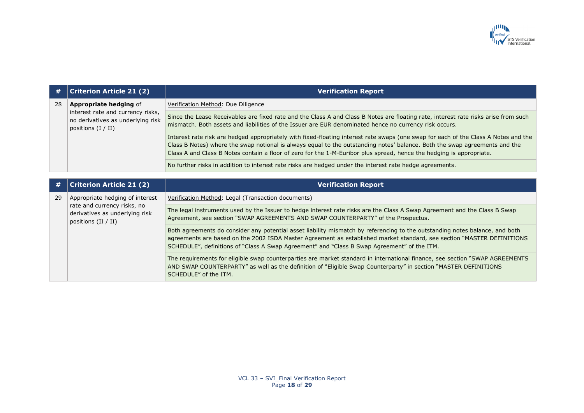

| #  | <b>Criterion Article 21 (2)</b>                                                                                                 | <b>Verification Report</b>                                                                                                                                                                                                                                                                                                                                                                |
|----|---------------------------------------------------------------------------------------------------------------------------------|-------------------------------------------------------------------------------------------------------------------------------------------------------------------------------------------------------------------------------------------------------------------------------------------------------------------------------------------------------------------------------------------|
| 28 | <b>Appropriate hedging of</b><br>interest rate and currency risks,<br>no derivatives as underlying risk<br>positions $(I / II)$ | Verification Method: Due Diligence                                                                                                                                                                                                                                                                                                                                                        |
|    |                                                                                                                                 | Since the Lease Receivables are fixed rate and the Class A and Class B Notes are floating rate, interest rate risks arise from such<br>mismatch. Both assets and liabilities of the Issuer are EUR denominated hence no currency risk occurs.                                                                                                                                             |
|    |                                                                                                                                 | Interest rate risk are hedged appropriately with fixed-floating interest rate swaps (one swap for each of the Class A Notes and the<br>Class B Notes) where the swap notional is always equal to the outstanding notes' balance. Both the swap agreements and the<br>Class A and Class B Notes contain a floor of zero for the 1-M-Euribor plus spread, hence the hedging is appropriate. |
|    |                                                                                                                                 | No further risks in addition to interest rate risks are hedged under the interest rate hedge agreements.                                                                                                                                                                                                                                                                                  |
|    |                                                                                                                                 |                                                                                                                                                                                                                                                                                                                                                                                           |
| #  | <b>Criterion Article 21 (2)</b>                                                                                                 | <b>Verification Report</b>                                                                                                                                                                                                                                                                                                                                                                |
| 29 | Appropriate hedging of interest                                                                                                 | Verification Method: Legal (Transaction documents)                                                                                                                                                                                                                                                                                                                                        |
|    | rate and currency risks, no<br>derivatives as underlying risk<br>positions (II / II)                                            | The legal instruments used by the Issuer to hedge interest rate risks are the Class A Swap Agreement and the Class B Swap<br>Agreement, see section "SWAP AGREEMENTS AND SWAP COUNTERPARTY" of the Prospectus.                                                                                                                                                                            |
|    |                                                                                                                                 | Both agreements do consider any potential asset liability mismatch by referencing to the outstanding notes balance, and both<br>agreements are based on the 2002 ISDA Master Agreement as established market standard, see section "MASTER DEFINITIONS<br>SCHEDULE", definitions of "Class A Swap Agreement" and "Class B Swap Agreement" of the ITM.                                     |
|    |                                                                                                                                 | The requirements for eligible swap counterparties are market standard in international finance, see section "SWAP AGREEMENTS<br>AND SWAP COUNTERPARTY" as well as the definition of "Eligible Swap Counterparty" in section "MASTER DEFINITIONS<br>SCHEDULE" of the ITM.                                                                                                                  |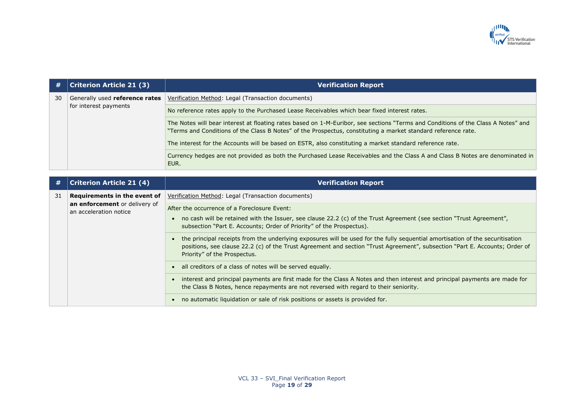

| #  | <b>Criterion Article 21 (3)</b>                         | <b>Verification Report</b>                                                                                                                                                                                                                         |
|----|---------------------------------------------------------|----------------------------------------------------------------------------------------------------------------------------------------------------------------------------------------------------------------------------------------------------|
| 30 | Generally used reference rates<br>for interest payments | Verification Method: Legal (Transaction documents)                                                                                                                                                                                                 |
|    |                                                         | No reference rates apply to the Purchased Lease Receivables which bear fixed interest rates.                                                                                                                                                       |
|    |                                                         | The Notes will bear interest at floating rates based on 1-M-Euribor, see sections "Terms and Conditions of the Class A Notes" and<br>"Terms and Conditions of the Class B Notes" of the Prospectus, constituting a market standard reference rate. |
|    |                                                         | The interest for the Accounts will be based on ESTR, also constituting a market standard reference rate.                                                                                                                                           |
|    |                                                         | Currency hedges are not provided as both the Purchased Lease Receivables and the Class A and Class B Notes are denominated in<br>EUR.                                                                                                              |

| #  | <b>Criterion Article 21 (4)</b>                         | <b>Verification Report</b>                                                                                                                                                                                                                                                                   |
|----|---------------------------------------------------------|----------------------------------------------------------------------------------------------------------------------------------------------------------------------------------------------------------------------------------------------------------------------------------------------|
| 31 | Requirements in the event of                            | Verification Method: Legal (Transaction documents)                                                                                                                                                                                                                                           |
|    | an enforcement or delivery of<br>an acceleration notice | After the occurrence of a Foreclosure Event:<br>no cash will be retained with the Issuer, see clause 22.2 (c) of the Trust Agreement (see section "Trust Agreement",<br>subsection "Part E. Accounts; Order of Priority" of the Prospectus).                                                 |
|    |                                                         | the principal receipts from the underlying exposures will be used for the fully sequential amortisation of the securitisation<br>positions, see clause 22.2 (c) of the Trust Agreement and section "Trust Agreement", subsection "Part E. Accounts; Order of<br>Priority" of the Prospectus. |
|    |                                                         | all creditors of a class of notes will be served equally.                                                                                                                                                                                                                                    |
|    |                                                         | interest and principal payments are first made for the Class A Notes and then interest and principal payments are made for<br>the Class B Notes, hence repayments are not reversed with regard to their seniority.                                                                           |
|    |                                                         | no automatic liquidation or sale of risk positions or assets is provided for.                                                                                                                                                                                                                |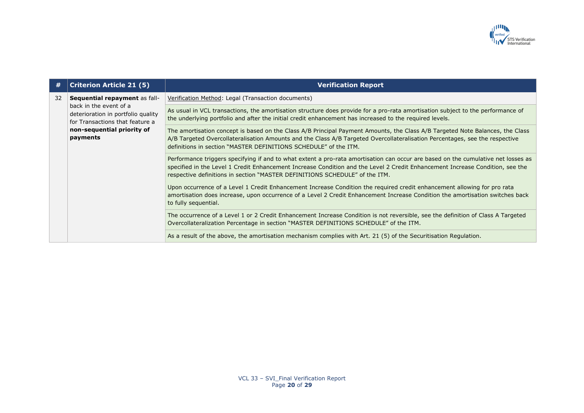

| #  | <b>Criterion Article 21 (5)</b>                                                                                                  | <b>Verification Report</b>                                                                                                                                                                                                                                                                                                                        |
|----|----------------------------------------------------------------------------------------------------------------------------------|---------------------------------------------------------------------------------------------------------------------------------------------------------------------------------------------------------------------------------------------------------------------------------------------------------------------------------------------------|
| 32 | Sequential repayment as fall-<br>back in the event of a<br>deterioration in portfolio quality<br>for Transactions that feature a | Verification Method: Legal (Transaction documents)                                                                                                                                                                                                                                                                                                |
|    |                                                                                                                                  | As usual in VCL transactions, the amortisation structure does provide for a pro-rata amortisation subject to the performance of<br>the underlying portfolio and after the initial credit enhancement has increased to the required levels.                                                                                                        |
|    | non-sequential priority of<br>payments                                                                                           | The amortisation concept is based on the Class A/B Principal Payment Amounts, the Class A/B Targeted Note Balances, the Class<br>A/B Targeted Overcollateralisation Amounts and the Class A/B Targeted Overcollateralisation Percentages, see the respective<br>definitions in section "MASTER DEFINITIONS SCHEDULE" of the ITM.                  |
|    |                                                                                                                                  | Performance triggers specifying if and to what extent a pro-rata amortisation can occur are based on the cumulative net losses as<br>specified in the Level 1 Credit Enhancement Increase Condition and the Level 2 Credit Enhancement Increase Condition, see the<br>respective definitions in section "MASTER DEFINITIONS SCHEDULE" of the ITM. |
|    |                                                                                                                                  | Upon occurrence of a Level 1 Credit Enhancement Increase Condition the required credit enhancement allowing for pro rata<br>amortisation does increase, upon occurrence of a Level 2 Credit Enhancement Increase Condition the amortisation switches back<br>to fully sequential.                                                                 |
|    |                                                                                                                                  | The occurrence of a Level 1 or 2 Credit Enhancement Increase Condition is not reversible, see the definition of Class A Targeted<br>Overcollateralization Percentage in section "MASTER DEFINITIONS SCHEDULE" of the ITM.                                                                                                                         |
|    |                                                                                                                                  | As a result of the above, the amortisation mechanism complies with Art. 21 (5) of the Securitisation Regulation.                                                                                                                                                                                                                                  |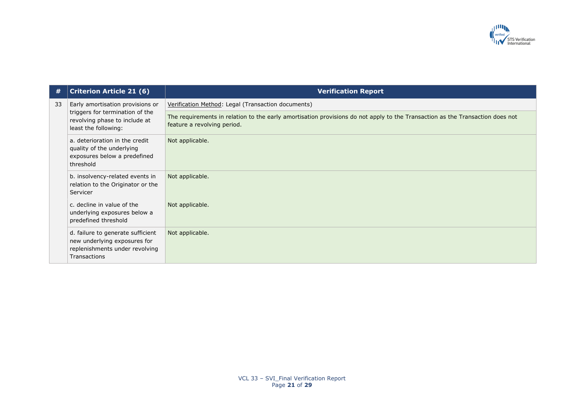

| #  | <b>Criterion Article 21 (6)</b>                                                                                              | <b>Verification Report</b>                                                                                                                                   |
|----|------------------------------------------------------------------------------------------------------------------------------|--------------------------------------------------------------------------------------------------------------------------------------------------------------|
| 33 | Early amortisation provisions or<br>triggers for termination of the<br>revolving phase to include at<br>least the following: | Verification Method: Legal (Transaction documents)                                                                                                           |
|    |                                                                                                                              | The requirements in relation to the early amortisation provisions do not apply to the Transaction as the Transaction does not<br>feature a revolving period. |
|    | a. deterioration in the credit<br>quality of the underlying<br>exposures below a predefined<br>threshold                     | Not applicable.                                                                                                                                              |
|    | b. insolvency-related events in<br>relation to the Originator or the<br>Servicer                                             | Not applicable.                                                                                                                                              |
|    | c. decline in value of the<br>underlying exposures below a<br>predefined threshold                                           | Not applicable.                                                                                                                                              |
|    | d. failure to generate sufficient<br>new underlying exposures for<br>replenishments under revolving<br><b>Transactions</b>   | Not applicable.                                                                                                                                              |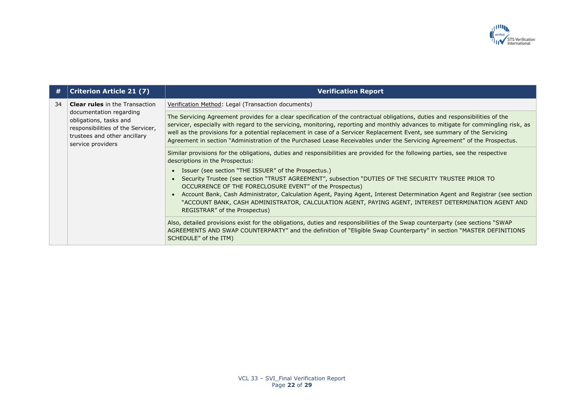

| #  | <b>Criterion Article 21 (7)</b>                                                                                                                                                      | <b>Verification Report</b>                                                                                                                                                                                                                                                                                                                                                                                                                                                                                                   |
|----|--------------------------------------------------------------------------------------------------------------------------------------------------------------------------------------|------------------------------------------------------------------------------------------------------------------------------------------------------------------------------------------------------------------------------------------------------------------------------------------------------------------------------------------------------------------------------------------------------------------------------------------------------------------------------------------------------------------------------|
| 34 | <b>Clear rules</b> in the Transaction<br>documentation regarding<br>obligations, tasks and<br>responsibilities of the Servicer,<br>trustees and other ancillary<br>service providers | Verification Method: Legal (Transaction documents)                                                                                                                                                                                                                                                                                                                                                                                                                                                                           |
|    |                                                                                                                                                                                      | The Servicing Agreement provides for a clear specification of the contractual obligations, duties and responsibilities of the<br>servicer, especially with regard to the servicing, monitoring, reporting and monthly advances to mitigate for commingling risk, as<br>well as the provisions for a potential replacement in case of a Servicer Replacement Event, see summary of the Servicing<br>Agreement in section "Administration of the Purchased Lease Receivables under the Servicing Agreement" of the Prospectus. |
|    |                                                                                                                                                                                      | Similar provisions for the obligations, duties and responsibilities are provided for the following parties, see the respective<br>descriptions in the Prospectus:                                                                                                                                                                                                                                                                                                                                                            |
|    |                                                                                                                                                                                      | • Issuer (see section "THE ISSUER" of the Prospectus.)                                                                                                                                                                                                                                                                                                                                                                                                                                                                       |
|    |                                                                                                                                                                                      | Security Trustee (see section "TRUST AGREEMENT", subsection "DUTIES OF THE SECURITY TRUSTEE PRIOR TO<br>OCCURRENCE OF THE FORECLOSURE EVENT" of the Prospectus)                                                                                                                                                                                                                                                                                                                                                              |
|    |                                                                                                                                                                                      | Account Bank, Cash Administrator, Calculation Agent, Paying Agent, Interest Determination Agent and Registrar (see section<br>"ACCOUNT BANK, CASH ADMINISTRATOR, CALCULATION AGENT, PAYING AGENT, INTEREST DETERMINATION AGENT AND<br>REGISTRAR" of the Prospectus)                                                                                                                                                                                                                                                          |
|    |                                                                                                                                                                                      | Also, detailed provisions exist for the obligations, duties and responsibilities of the Swap counterparty (see sections "SWAP<br>AGREEMENTS AND SWAP COUNTERPARTY" and the definition of "Eligible Swap Counterparty" in section "MASTER DEFINITIONS<br>SCHEDULE" of the ITM)                                                                                                                                                                                                                                                |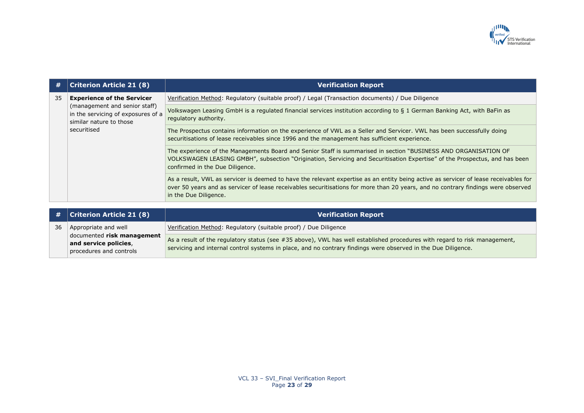

| #  | <b>Criterion Article 21 (8)</b>                                                                                                                    | <b>Verification Report</b>                                                                                                                                                                                                                                                                         |
|----|----------------------------------------------------------------------------------------------------------------------------------------------------|----------------------------------------------------------------------------------------------------------------------------------------------------------------------------------------------------------------------------------------------------------------------------------------------------|
| 35 | <b>Experience of the Servicer</b><br>(management and senior staff)<br>in the servicing of exposures of a<br>similar nature to those<br>securitised | Verification Method: Regulatory (suitable proof) / Legal (Transaction documents) / Due Diligence                                                                                                                                                                                                   |
|    |                                                                                                                                                    | Volkswagen Leasing GmbH is a regulated financial services institution according to § 1 German Banking Act, with BaFin as<br>regulatory authority.                                                                                                                                                  |
|    |                                                                                                                                                    | The Prospectus contains information on the experience of VWL as a Seller and Servicer. VWL has been successfully doing<br>securitisations of lease receivables since 1996 and the management has sufficient experience.                                                                            |
|    |                                                                                                                                                    | The experience of the Managements Board and Senior Staff is summarised in section "BUSINESS AND ORGANISATION OF<br>VOLKSWAGEN LEASING GMBH", subsection "Origination, Servicing and Securitisation Expertise" of the Prospectus, and has been<br>confirmed in the Due Diligence.                   |
|    |                                                                                                                                                    | As a result, VWL as servicer is deemed to have the relevant expertise as an entity being active as servicer of lease receivables for<br>over 50 years and as servicer of lease receivables securitisations for more than 20 years, and no contrary findings were observed<br>in the Due Diligence. |

|    | $\#$ Criterion Article 21 (8)                       | <b>Verification Report</b>                                                                                                |
|----|-----------------------------------------------------|---------------------------------------------------------------------------------------------------------------------------|
| 36 | Appropriate and well                                | Verification Method: Regulatory (suitable proof) / Due Diligence                                                          |
|    | documented risk management<br>and service policies, | As a result of the regulatory status (see #35 above), VWL has well established procedures with regard to risk management, |
|    | procedures and controls                             | servicing and internal control systems in place, and no contrary findings were observed in the Due Diligence.             |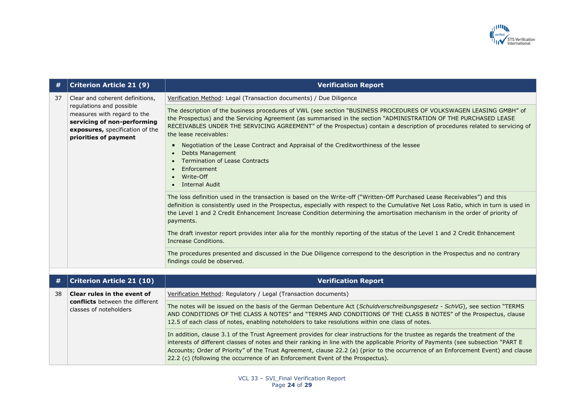

| #    | <b>Criterion Article 21 (9)</b>                                                                                                                                                       | <b>Verification Report</b>                                                                                                                                                                                                                                                                                                                                                                                                                                                                                                                                                                                      |
|------|---------------------------------------------------------------------------------------------------------------------------------------------------------------------------------------|-----------------------------------------------------------------------------------------------------------------------------------------------------------------------------------------------------------------------------------------------------------------------------------------------------------------------------------------------------------------------------------------------------------------------------------------------------------------------------------------------------------------------------------------------------------------------------------------------------------------|
| 37   | Clear and coherent definitions,<br>regulations and possible<br>measures with regard to the<br>servicing of non-performing<br>exposures, specification of the<br>priorities of payment | Verification Method: Legal (Transaction documents) / Due Diligence                                                                                                                                                                                                                                                                                                                                                                                                                                                                                                                                              |
|      |                                                                                                                                                                                       | The description of the business procedures of VWL (see section "BUSINESS PROCEDURES OF VOLKSWAGEN LEASING GMBH" of<br>the Prospectus) and the Servicing Agreement (as summarised in the section "ADMINISTRATION OF THE PURCHASED LEASE<br>RECEIVABLES UNDER THE SERVICING AGREEMENT" of the Prospectus) contain a description of procedures related to servicing of<br>the lease receivables:<br>Negotiation of the Lease Contract and Appraisal of the Creditworthiness of the lessee<br><b>Debts Management</b><br><b>Termination of Lease Contracts</b><br>Enforcement<br>Write-Off<br><b>Internal Audit</b> |
|      |                                                                                                                                                                                       | The loss definition used in the transaction is based on the Write-off ("Written-Off Purchased Lease Receivables") and this<br>definition is consistently used in the Prospectus, especially with respect to the Cumulative Net Loss Ratio, which in turn is used in<br>the Level 1 and 2 Credit Enhancement Increase Condition determining the amortisation mechanism in the order of priority of<br>payments.                                                                                                                                                                                                  |
|      |                                                                                                                                                                                       | The draft investor report provides inter alia for the monthly reporting of the status of the Level 1 and 2 Credit Enhancement<br>Increase Conditions.                                                                                                                                                                                                                                                                                                                                                                                                                                                           |
|      |                                                                                                                                                                                       | The procedures presented and discussed in the Due Diligence correspond to the description in the Prospectus and no contrary<br>findings could be observed.                                                                                                                                                                                                                                                                                                                                                                                                                                                      |
|      |                                                                                                                                                                                       |                                                                                                                                                                                                                                                                                                                                                                                                                                                                                                                                                                                                                 |
| $\#$ | <b>Criterion Article 21 (10)</b>                                                                                                                                                      | <b>Verification Report</b>                                                                                                                                                                                                                                                                                                                                                                                                                                                                                                                                                                                      |
| 38   | Clear rules in the event of                                                                                                                                                           | Verification Method: Regulatory / Legal (Transaction documents)                                                                                                                                                                                                                                                                                                                                                                                                                                                                                                                                                 |
|      | conflicts between the different<br>classes of noteholders                                                                                                                             | The notes will be issued on the basis of the German Debenture Act (Schuldverschreibungsgesetz - SchVG), see section "TERMS<br>AND CONDITIONS OF THE CLASS A NOTES" and "TERMS AND CONDITIONS OF THE CLASS B NOTES" of the Prospectus, clause<br>12.5 of each class of notes, enabling noteholders to take resolutions within one class of notes.                                                                                                                                                                                                                                                                |

In addition, clause 3.1 of the Trust Agreement provides for clear instructions for the trustee as regards the treatment of the interests of different classes of notes and their ranking in line with the applicable Priority of Payments (see subsection "PART E Accounts; Order of Priority" of the Trust Agreement, clause 22.2 (a) (prior to the occurrence of an Enforcement Event) and clause 22.2 (c) (following the occurrence of an Enforcement Event of the Prospectus).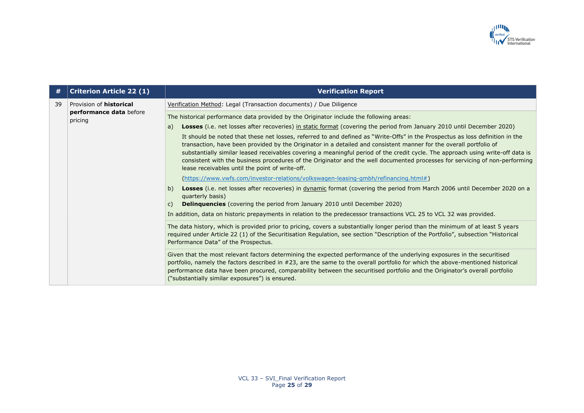

| #  | <b>Criterion Article 22 (1)</b>    | <b>Verification Report</b>                                                                                                                                                                                                                                                                                                                                                                                                                                                                                                                                               |
|----|------------------------------------|--------------------------------------------------------------------------------------------------------------------------------------------------------------------------------------------------------------------------------------------------------------------------------------------------------------------------------------------------------------------------------------------------------------------------------------------------------------------------------------------------------------------------------------------------------------------------|
| 39 | Provision of <b>historical</b>     | Verification Method: Legal (Transaction documents) / Due Diligence                                                                                                                                                                                                                                                                                                                                                                                                                                                                                                       |
|    | performance data before<br>pricing | The historical performance data provided by the Originator include the following areas:                                                                                                                                                                                                                                                                                                                                                                                                                                                                                  |
|    |                                    | Losses (i.e. net losses after recoveries) in static format (covering the period from January 2010 until December 2020)<br>a)                                                                                                                                                                                                                                                                                                                                                                                                                                             |
|    |                                    | It should be noted that these net losses, referred to and defined as "Write-Offs" in the Prospectus as loss definition in the<br>transaction, have been provided by the Originator in a detailed and consistent manner for the overall portfolio of<br>substantially similar leased receivables covering a meaningful period of the credit cycle. The approach using write-off data is<br>consistent with the business procedures of the Originator and the well documented processes for servicing of non-performing<br>lease receivables until the point of write-off. |
|    |                                    | (https://www.vwfs.com/investor-relations/volkswagen-leasing-gmbh/refinancing.html#)                                                                                                                                                                                                                                                                                                                                                                                                                                                                                      |
|    |                                    | Losses (i.e. net losses after recoveries) in <i>dynamic</i> format (covering the period from March 2006 until December 2020 on a<br>b)<br>quarterly basis)                                                                                                                                                                                                                                                                                                                                                                                                               |
|    |                                    | <b>Delinquencies</b> (covering the period from January 2010 until December 2020)<br>$\mathsf{C}$                                                                                                                                                                                                                                                                                                                                                                                                                                                                         |
|    |                                    | In addition, data on historic prepayments in relation to the predecessor transactions VCL 25 to VCL 32 was provided.                                                                                                                                                                                                                                                                                                                                                                                                                                                     |
|    |                                    | The data history, which is provided prior to pricing, covers a substantially longer period than the minimum of at least 5 years<br>required under Article 22 (1) of the Securitisation Regulation, see section "Description of the Portfolio", subsection "Historical<br>Performance Data" of the Prospectus.                                                                                                                                                                                                                                                            |
|    |                                    | Given that the most relevant factors determining the expected performance of the underlying exposures in the securitised<br>portfolio, namely the factors described in #23, are the same to the overall portfolio for which the above-mentioned historical<br>performance data have been procured, comparability between the securitised portfolio and the Originator's overall portfolio<br>("substantially similar exposures") is ensured.                                                                                                                             |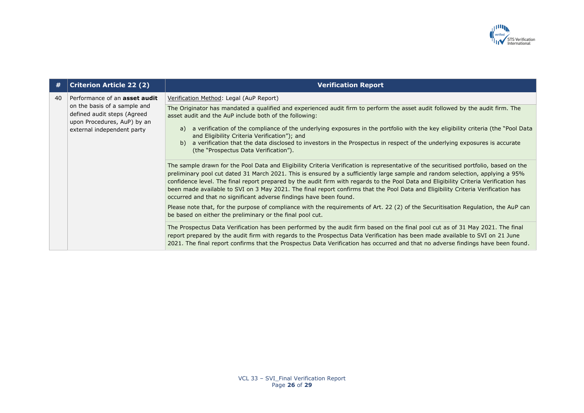

| #  | <b>Criterion Article 22 (2)</b>                                                                                          | <b>Verification Report</b>                                                                                                                                                                                                                                                                                                                                                                                                                                                                                                                                                                                                                                                                                                                                                                                                                                                                                                                                                                                                                                                                                                                                                                                                                                                                                                                                                                  |
|----|--------------------------------------------------------------------------------------------------------------------------|---------------------------------------------------------------------------------------------------------------------------------------------------------------------------------------------------------------------------------------------------------------------------------------------------------------------------------------------------------------------------------------------------------------------------------------------------------------------------------------------------------------------------------------------------------------------------------------------------------------------------------------------------------------------------------------------------------------------------------------------------------------------------------------------------------------------------------------------------------------------------------------------------------------------------------------------------------------------------------------------------------------------------------------------------------------------------------------------------------------------------------------------------------------------------------------------------------------------------------------------------------------------------------------------------------------------------------------------------------------------------------------------|
| 40 | Performance of an <b>asset audit</b>                                                                                     | Verification Method: Legal (AuP Report)                                                                                                                                                                                                                                                                                                                                                                                                                                                                                                                                                                                                                                                                                                                                                                                                                                                                                                                                                                                                                                                                                                                                                                                                                                                                                                                                                     |
|    | on the basis of a sample and<br>defined audit steps (Agreed<br>upon Procedures, AuP) by an<br>external independent party | The Originator has mandated a qualified and experienced audit firm to perform the asset audit followed by the audit firm. The<br>asset audit and the AuP include both of the following:<br>a verification of the compliance of the underlying exposures in the portfolio with the key eligibility criteria (the "Pool Data<br>a)<br>and Eligibility Criteria Verification"); and<br>a verification that the data disclosed to investors in the Prospectus in respect of the underlying exposures is accurate<br>b)<br>(the "Prospectus Data Verification").<br>The sample drawn for the Pool Data and Eligibility Criteria Verification is representative of the securitised portfolio, based on the<br>preliminary pool cut dated 31 March 2021. This is ensured by a sufficiently large sample and random selection, applying a 95%<br>confidence level. The final report prepared by the audit firm with regards to the Pool Data and Eligibility Criteria Verification has<br>been made available to SVI on 3 May 2021. The final report confirms that the Pool Data and Eligibility Criteria Verification has<br>occurred and that no significant adverse findings have been found.<br>Please note that, for the purpose of compliance with the requirements of Art. 22 (2) of the Securitisation Regulation, the AuP can<br>be based on either the preliminary or the final pool cut. |
|    |                                                                                                                          | The Prospectus Data Verification has been performed by the audit firm based on the final pool cut as of 31 May 2021. The final<br>report prepared by the audit firm with regards to the Prospectus Data Verification has been made available to SVI on 21 June<br>2021. The final report confirms that the Prospectus Data Verification has occurred and that no adverse findings have been found.                                                                                                                                                                                                                                                                                                                                                                                                                                                                                                                                                                                                                                                                                                                                                                                                                                                                                                                                                                                          |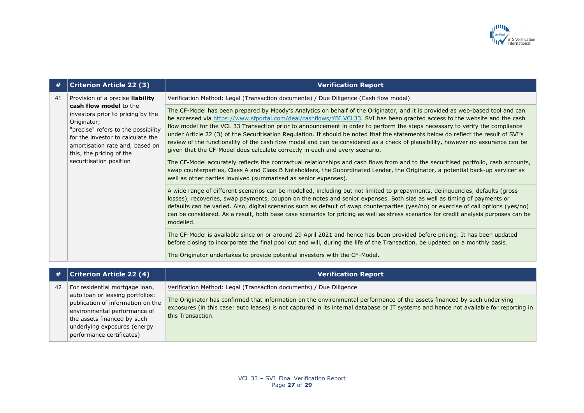

| #  | <b>Criterion Article 22 (3)</b>                                                                                                                                                                                                                  | <b>Verification Report</b>                                                                                                                                                                                                                                                                                                                                                                                                                                                                                                                                                                                                                                                                                                                            |
|----|--------------------------------------------------------------------------------------------------------------------------------------------------------------------------------------------------------------------------------------------------|-------------------------------------------------------------------------------------------------------------------------------------------------------------------------------------------------------------------------------------------------------------------------------------------------------------------------------------------------------------------------------------------------------------------------------------------------------------------------------------------------------------------------------------------------------------------------------------------------------------------------------------------------------------------------------------------------------------------------------------------------------|
| 41 | Provision of a precise liability                                                                                                                                                                                                                 | Verification Method: Legal (Transaction documents) / Due Diligence (Cash flow model)                                                                                                                                                                                                                                                                                                                                                                                                                                                                                                                                                                                                                                                                  |
|    | cash flow model to the<br>investors prior to pricing by the<br>Originator;<br>"precise" refers to the possibility<br>for the investor to calculate the<br>amortisation rate and, based on<br>this, the pricing of the<br>securitisation position | The CF-Model has been prepared by Moody's Analytics on behalf of the Originator, and it is provided as web-based tool and can<br>be accessed via https://www.sfportal.com/deal/cashflows/YBI.VCL33. SVI has been granted access to the website and the cash<br>flow model for the VCL 33 Transaction prior to announcement in order to perform the steps necessary to verify the compliance<br>under Article 22 (3) of the Securitisation Regulation. It should be noted that the statements below do reflect the result of SVI's<br>review of the functionality of the cash flow model and can be considered as a check of plausibility, however no assurance can be<br>given that the CF-Model does calculate correctly in each and every scenario. |
|    |                                                                                                                                                                                                                                                  | The CF-Model accurately reflects the contractual relationships and cash flows from and to the securitised portfolio, cash accounts,<br>swap counterparties, Class A and Class B Noteholders, the Subordinated Lender, the Originator, a potential back-up servicer as<br>well as other parties involved (summarised as senior expenses).                                                                                                                                                                                                                                                                                                                                                                                                              |
|    |                                                                                                                                                                                                                                                  | A wide range of different scenarios can be modelled, including but not limited to prepayments, delinguencies, defaults (gross<br>losses), recoveries, swap payments, coupon on the notes and senior expenses. Both size as well as timing of payments or<br>defaults can be varied. Also, digital scenarios such as default of swap counterparties (yes/no) or exercise of call options (yes/no)<br>can be considered. As a result, both base case scenarios for pricing as well as stress scenarios for credit analysis purposes can be<br>modelled.                                                                                                                                                                                                 |
|    |                                                                                                                                                                                                                                                  | The CF-Model is available since on or around 29 April 2021 and hence has been provided before pricing. It has been updated<br>before closing to incorporate the final pool cut and will, during the life of the Transaction, be updated on a monthly basis.                                                                                                                                                                                                                                                                                                                                                                                                                                                                                           |
|    |                                                                                                                                                                                                                                                  | The Originator undertakes to provide potential investors with the CF-Model.                                                                                                                                                                                                                                                                                                                                                                                                                                                                                                                                                                                                                                                                           |
|    |                                                                                                                                                                                                                                                  |                                                                                                                                                                                                                                                                                                                                                                                                                                                                                                                                                                                                                                                                                                                                                       |
|    | Critational Atiala 22 (1)                                                                                                                                                                                                                        | Varification Donart                                                                                                                                                                                                                                                                                                                                                                                                                                                                                                                                                                                                                                                                                                                                   |

| #  | <b>Criterion Article 22 (4)</b>                                                                                                                                                                                                     | <b>Verification Report</b>                                                                                                                                                                                                                                                                                                                                   |
|----|-------------------------------------------------------------------------------------------------------------------------------------------------------------------------------------------------------------------------------------|--------------------------------------------------------------------------------------------------------------------------------------------------------------------------------------------------------------------------------------------------------------------------------------------------------------------------------------------------------------|
| 42 | For residential mortgage loan,<br>auto loan or leasing portfolios:<br>publication of information on the<br>environmental performance of<br>the assets financed by such<br>underlying exposures (energy<br>performance certificates) | Verification Method: Legal (Transaction documents) / Due Diligence<br>The Originator has confirmed that information on the environmental performance of the assets financed by such underlying<br>exposures (in this case: auto leases) is not captured in its internal database or IT systems and hence not available for reporting in<br>this Transaction. |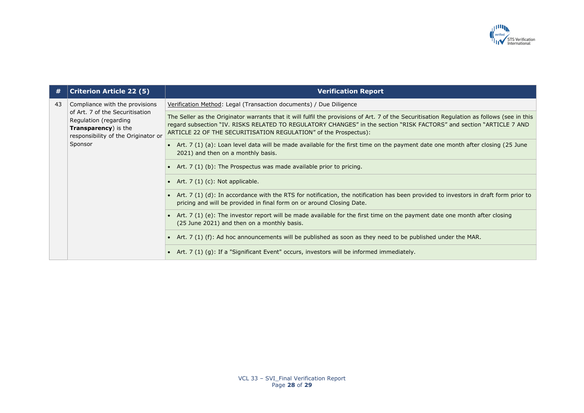

| #  | <b>Criterion Article 22 (5)</b>                                                                                                                                              | <b>Verification Report</b>                                                                                                                                                                                                                                                                                                              |
|----|------------------------------------------------------------------------------------------------------------------------------------------------------------------------------|-----------------------------------------------------------------------------------------------------------------------------------------------------------------------------------------------------------------------------------------------------------------------------------------------------------------------------------------|
| 43 | Compliance with the provisions<br>of Art. 7 of the Securitisation<br>Regulation (regarding<br><b>Transparency</b> ) is the<br>responsibility of the Originator or<br>Sponsor | Verification Method: Legal (Transaction documents) / Due Diligence                                                                                                                                                                                                                                                                      |
|    |                                                                                                                                                                              | The Seller as the Originator warrants that it will fulfil the provisions of Art. 7 of the Securitisation Regulation as follows (see in this<br>regard subsection "IV. RISKS RELATED TO REGULATORY CHANGES" in the section "RISK FACTORS" and section "ARTICLE 7 AND<br>ARTICLE 22 OF THE SECURITISATION REGULATION" of the Prospectus): |
|    |                                                                                                                                                                              | • Art. 7 (1) (a): Loan level data will be made available for the first time on the payment date one month after closing (25 June<br>2021) and then on a monthly basis.                                                                                                                                                                  |
|    |                                                                                                                                                                              | • Art. $7(1)(b)$ : The Prospectus was made available prior to pricing.                                                                                                                                                                                                                                                                  |
|    |                                                                                                                                                                              | • Art. $7(1)(c)$ : Not applicable.                                                                                                                                                                                                                                                                                                      |
|    |                                                                                                                                                                              | • Art. $7(1)(d)$ : In accordance with the RTS for notification, the notification has been provided to investors in draft form prior to<br>pricing and will be provided in final form on or around Closing Date.                                                                                                                         |
|    |                                                                                                                                                                              | Art. 7 (1) (e): The investor report will be made available for the first time on the payment date one month after closing<br>(25 June 2021) and then on a monthly basis.                                                                                                                                                                |
|    |                                                                                                                                                                              | • Art. $7(1)$ (f): Ad hoc announcements will be published as soon as they need to be published under the MAR.                                                                                                                                                                                                                           |
|    |                                                                                                                                                                              | • Art. $7(1)(g)$ : If a "Significant Event" occurs, investors will be informed immediately.                                                                                                                                                                                                                                             |